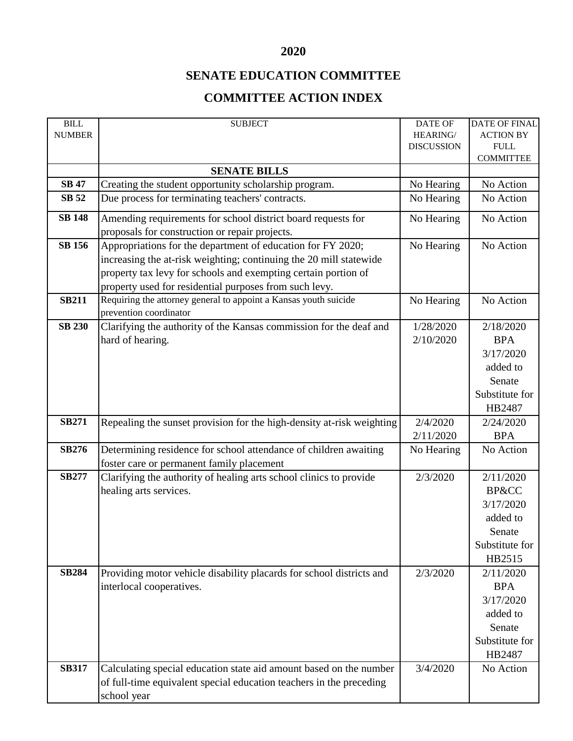## **2020**

## **SENATE EDUCATION COMMITTEE**

## **COMMITTEE ACTION INDEX**

| BILL          | <b>SUBJECT</b>                                                                             | DATE OF           | <b>DATE OF FINAL</b> |
|---------------|--------------------------------------------------------------------------------------------|-------------------|----------------------|
| <b>NUMBER</b> |                                                                                            | HEARING/          | <b>ACTION BY</b>     |
|               |                                                                                            | <b>DISCUSSION</b> | ${\hbox{FULL}}$      |
|               |                                                                                            |                   | <b>COMMITTEE</b>     |
|               | <b>SENATE BILLS</b>                                                                        |                   |                      |
| <b>SB 47</b>  | Creating the student opportunity scholarship program.                                      | No Hearing        | No Action            |
| <b>SB 52</b>  | Due process for terminating teachers' contracts.                                           | No Hearing        | No Action            |
| <b>SB 148</b> | Amending requirements for school district board requests for                               | No Hearing        | No Action            |
|               | proposals for construction or repair projects.                                             |                   |                      |
| <b>SB 156</b> | Appropriations for the department of education for FY 2020;                                | No Hearing        | No Action            |
|               | increasing the at-risk weighting; continuing the 20 mill statewide                         |                   |                      |
|               | property tax levy for schools and exempting certain portion of                             |                   |                      |
|               | property used for residential purposes from such levy.                                     |                   |                      |
| <b>SB211</b>  | Requiring the attorney general to appoint a Kansas youth suicide<br>prevention coordinator | No Hearing        | No Action            |
| <b>SB 230</b> | Clarifying the authority of the Kansas commission for the deaf and                         | 1/28/2020         | 2/18/2020            |
|               | hard of hearing.                                                                           | 2/10/2020         | <b>BPA</b>           |
|               |                                                                                            |                   | 3/17/2020            |
|               |                                                                                            |                   | added to             |
|               |                                                                                            |                   |                      |
|               |                                                                                            |                   | Senate               |
|               |                                                                                            |                   | Substitute for       |
|               |                                                                                            |                   | HB2487               |
| <b>SB271</b>  | Repealing the sunset provision for the high-density at-risk weighting                      | 2/4/2020          | 2/24/2020            |
|               |                                                                                            | 2/11/2020         | <b>BPA</b>           |
| <b>SB276</b>  | Determining residence for school attendance of children awaiting                           | No Hearing        | No Action            |
|               | foster care or permanent family placement                                                  |                   |                      |
| <b>SB277</b>  | Clarifying the authority of healing arts school clinics to provide                         | 2/3/2020          | 2/11/2020            |
|               | healing arts services.                                                                     |                   | <b>BP&amp;CC</b>     |
|               |                                                                                            |                   | 3/17/2020            |
|               |                                                                                            |                   | added to             |
|               |                                                                                            |                   | Senate               |
|               |                                                                                            |                   | Substitute for       |
|               |                                                                                            |                   | HB2515               |
| <b>SB284</b>  | Providing motor vehicle disability placards for school districts and                       | 2/3/2020          | 2/11/2020            |
|               | interlocal cooperatives.                                                                   |                   | <b>BPA</b>           |
|               |                                                                                            |                   | 3/17/2020            |
|               |                                                                                            |                   |                      |
|               |                                                                                            |                   | added to             |
|               |                                                                                            |                   | Senate               |
|               |                                                                                            |                   | Substitute for       |
|               |                                                                                            |                   | HB2487               |
| <b>SB317</b>  | Calculating special education state aid amount based on the number                         | 3/4/2020          | No Action            |
|               | of full-time equivalent special education teachers in the preceding                        |                   |                      |
|               | school year                                                                                |                   |                      |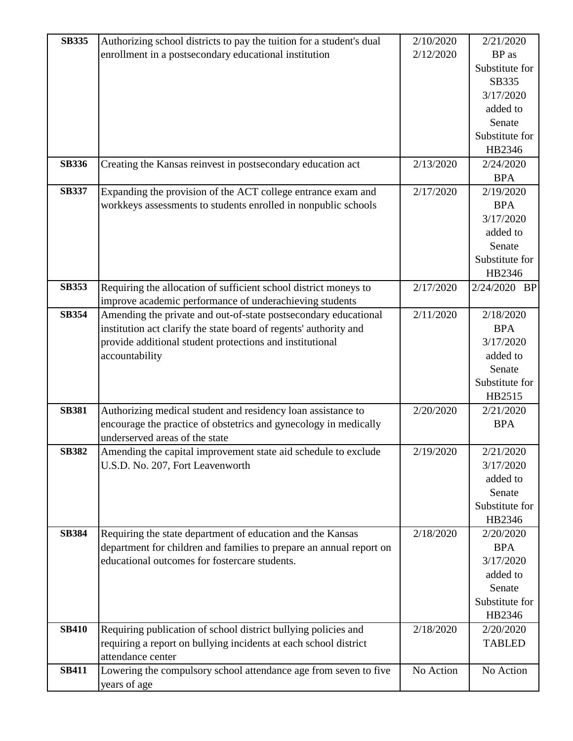| <b>SB335</b> | Authorizing school districts to pay the tuition for a student's dual | 2/10/2020 | 2/21/2020      |
|--------------|----------------------------------------------------------------------|-----------|----------------|
|              | enrollment in a postsecondary educational institution                | 2/12/2020 | BP as          |
|              |                                                                      |           | Substitute for |
|              |                                                                      |           | SB335          |
|              |                                                                      |           | 3/17/2020      |
|              |                                                                      |           | added to       |
|              |                                                                      |           | Senate         |
|              |                                                                      |           | Substitute for |
|              |                                                                      |           | HB2346         |
| <b>SB336</b> | Creating the Kansas reinvest in postsecondary education act          | 2/13/2020 | 2/24/2020      |
|              |                                                                      |           | <b>BPA</b>     |
| <b>SB337</b> | Expanding the provision of the ACT college entrance exam and         | 2/17/2020 | 2/19/2020      |
|              | workkeys assessments to students enrolled in nonpublic schools       |           | <b>BPA</b>     |
|              |                                                                      |           | 3/17/2020      |
|              |                                                                      |           | added to       |
|              |                                                                      |           | Senate         |
|              |                                                                      |           | Substitute for |
|              |                                                                      |           | HB2346         |
| <b>SB353</b> | Requiring the allocation of sufficient school district moneys to     | 2/17/2020 | 2/24/2020 BP   |
|              | improve academic performance of underachieving students              |           |                |
| <b>SB354</b> | Amending the private and out-of-state postsecondary educational      | 2/11/2020 | 2/18/2020      |
|              | institution act clarify the state board of regents' authority and    |           | <b>BPA</b>     |
|              | provide additional student protections and institutional             |           | 3/17/2020      |
|              | accountability                                                       |           | added to       |
|              |                                                                      |           | Senate         |
|              |                                                                      |           | Substitute for |
|              |                                                                      |           | HB2515         |
| <b>SB381</b> | Authorizing medical student and residency loan assistance to         | 2/20/2020 | 2/21/2020      |
|              | encourage the practice of obstetrics and gynecology in medically     |           | <b>BPA</b>     |
|              | underserved areas of the state                                       |           |                |
| <b>SB382</b> | Amending the capital improvement state aid schedule to exclude       | 2/19/2020 | 2/21/2020      |
|              | U.S.D. No. 207, Fort Leavenworth                                     |           | 3/17/2020      |
|              |                                                                      |           | added to       |
|              |                                                                      |           | Senate         |
|              |                                                                      |           | Substitute for |
|              |                                                                      |           | HB2346         |
| <b>SB384</b> | Requiring the state department of education and the Kansas           | 2/18/2020 | 2/20/2020      |
|              | department for children and families to prepare an annual report on  |           | <b>BPA</b>     |
|              | educational outcomes for fostercare students.                        |           | 3/17/2020      |
|              |                                                                      |           | added to       |
|              |                                                                      |           | Senate         |
|              |                                                                      |           | Substitute for |
|              |                                                                      |           | HB2346         |
| <b>SB410</b> | Requiring publication of school district bullying policies and       | 2/18/2020 | 2/20/2020      |
|              | requiring a report on bullying incidents at each school district     |           | <b>TABLED</b>  |
|              | attendance center                                                    |           |                |
| <b>SB411</b> | Lowering the compulsory school attendance age from seven to five     | No Action | No Action      |
|              | years of age                                                         |           |                |